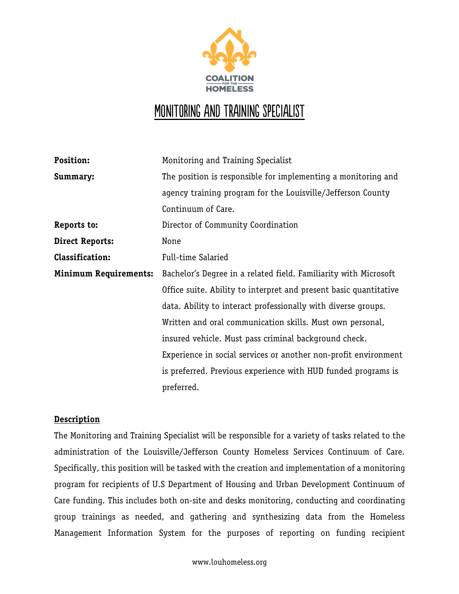

## MONITORING AND TRAINING SPECIALIST

| Position:                    | Monitoring and Training Specialist                                |
|------------------------------|-------------------------------------------------------------------|
| Summary:                     | The position is responsible for implementing a monitoring and     |
|                              | agency training program for the Louisville/Jefferson County       |
|                              | Continuum of Care.                                                |
| Reports to:                  | Director of Community Coordination                                |
| <b>Direct Reports:</b>       | None                                                              |
| <b>Classification:</b>       | Full-time Salaried                                                |
| <b>Minimum Requirements:</b> | Bachelor's Degree in a related field. Familiarity with Microsoft  |
|                              | Office suite. Ability to interpret and present basic quantitative |
|                              | data. Ability to interact professionally with diverse groups.     |
|                              | Written and oral communication skills. Must own personal,         |
|                              | insured vehicle. Must pass criminal background check.             |
|                              | Experience in social services or another non-profit environment   |
|                              | is preferred. Previous experience with HUD funded programs is     |
|                              | preferred.                                                        |

## **Description**

The Monitoring and Training Specialist will be responsible for a variety of tasks related to the administration of the Louisville/Jefferson County Homeless Services Continuum of Care. Specifically, this position will be tasked with the creation and implementation of a monitoring program for recipients of U.S Department of Housing and Urban Development Continuum of Care funding. This includes both on-site and desks monitoring, conducting and coordinating group trainings as needed, and gathering and synthesizing data from the Homeless Management Information System for the purposes of reporting on funding recipient